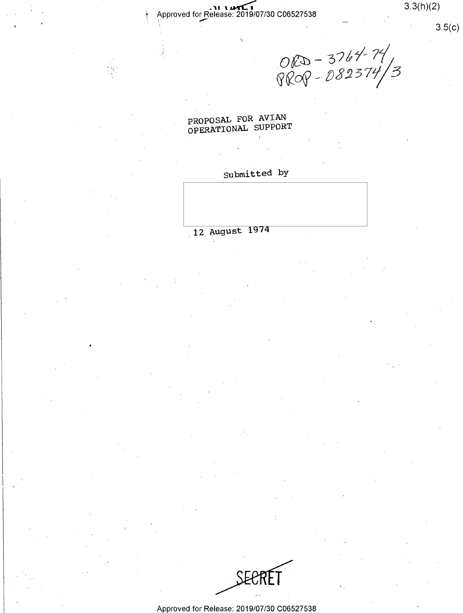Approved for Release: 2019/07/30 C06527538

 $3.3(h)(2)$ 

 $3.5(c)$ 

ORD - 3764-74<br>PROP - 082374/3

PROPOSAL FOR AVIAN OPERATIONAL SUPPORT

# Submitted by

12 August 1974



Approved for Release: 2019/07/30 C06527538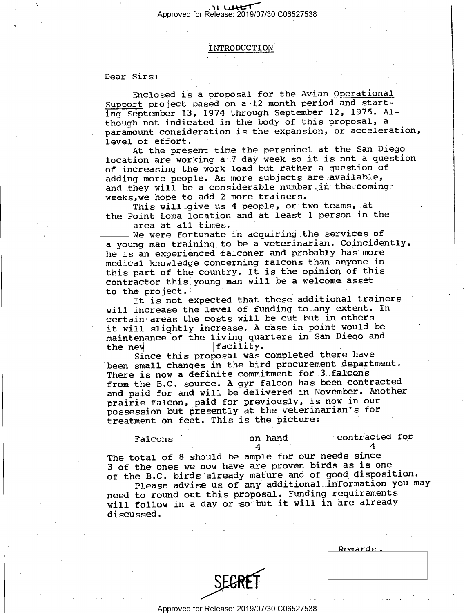${\tt INTRODUCTION}$ 

#### Dear Sirs:

'

Enclosed is a proposal for the Avian Operational Support project based on a-12 month period and starting September 13, 1974 through September 12, 1975. Although not indicated in the body of this proposal, a paramount consideration is the expansion, or acceleration, level of effort.

At the present time the personnel at the San Diego location are working a 7 day week so it is not a question of increasing the work load but rather a question of adding more people. As more subjects are available, and they will be a considerable number in the comingg weeks,we hope to add 2 more trainers.

This will-give us 4 people. or two teams, at the Point Loma location and at least 1 person in the  $\vert$  area at all times.

[::::]area at all times.\_ ' We were fortunate in acquiring.the services of a young man training to be a.veterinarian. Coincidently, he is an experienced falconer and probably has more medical knowledge concerning falcons than anyone in this part of the country. It is the opinion of this contractor this young man will be a welcome asset to the project. <sup>~</sup> »

It is not expected that these additional trainers will increase the level of funding to any extent. In certain areas the costs will be cut but in others it will slightly increase. A case in point would be maintenance of the living quarters in San Diego and<br>the new facility. the new facility.<br>executed that is a seriated that

Since this proposal was completed there have been small changes in the bird procurement department. There is now a definite commitment for 3 falcons from the B.C. source. A gyr falcon has been contracted and paid for and will be delivered in November. Another prairie falcon, paid for previously, is now in our possession but presently at the veterinarian's for treatment on feet. This is the picture:

Falcons " on hand . "contracted for  $\frac{4}{4}$ 

4  $\sim$  4 The total of 8 should be ample for our needs since <sup>3</sup>of the ones we now have are proven birds as is one of the B.C. birds'already mature and of good disposition. Please advise us of any additional information you may need to round out this proposal. Funding requirements will follow in a day or soabut it will in are already discussed.

|  | Regards. |  |  |
|--|----------|--|--|
|  |          |  |  |
|  |          |  |  |
|  |          |  |  |



"\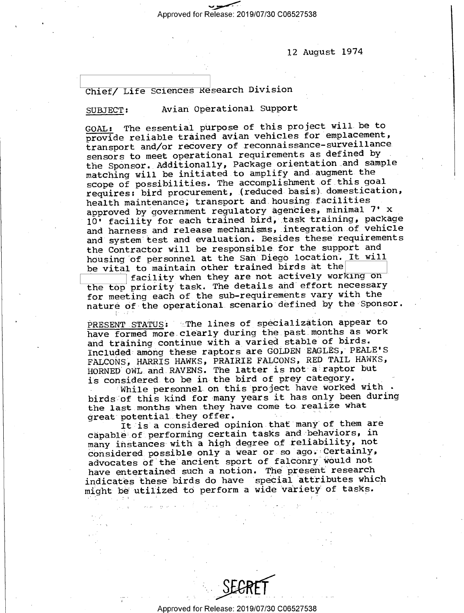Approved for Release: 2019/07/30 C06527538

12 August 1974

### Chief/ Life Sciences Research Division

### SUBJECT: Avian Operational Support

GOAL: The essential purpose of this project will be to provide reliable trained avian vehicles for emplacement, transport and/or recovery of reconnaissance-surveillance sensors to meet operational requirements as defined by ' the Sponsor. Additionally, Package orientation and sample matching will be initiated.to amplify and augment the scope of possibilities. The accomplishment.of this goal requires: bird procurement, (reduced basis).domestication, health maintenance; transport and housing.facilities approved by government regulatory agencies, minimal 7' <sup>x</sup> 10' facility for each trained bird; task training, package and harness and release mechanisms, integration of vehicle and system test and evaluation. Besides these requirements the Contractor will be responsible for the support and housing of personnel at the San Diego location. It will be vital to maintain other trained birds at the

Ifacility when they are not actively working on the top priority task. The details and effort necessary for meeting each of the sub-requirements vary with the nature of the operational scenario defined by the Sponsor.

PRESENT STATUS: The lines of specialization appear to have formed more.clearly during the.past.months as work and training continue with a varied stable of birds. Included among these raptors are GOLDEN EAGLES, PEALE'S FALCONS} HARRIS HAWKS, PRAIRIE FALCONS, RED TAIL HAWKS, HORNED OWL and RAVENS. The latter is not a raptor but is considered to be in the bird of prey category.  $\ddot{\phantom{1}}$ 

While personnel on this project have worked with birds of this kind for many years it has only been during the last months when they have come to realize what great potential they offer.

It is a considered opinion that many of them are capable of performing certain tasks and behaviors, in many instances with a high degree of reliability, not considered.possible only a wear or so ago; Certainly, advocates of the ancient sport of falconry would not have entertained such a notion. The present research indicates these birds do have special attributes which might be utilized to perform a wide variety of tasks.

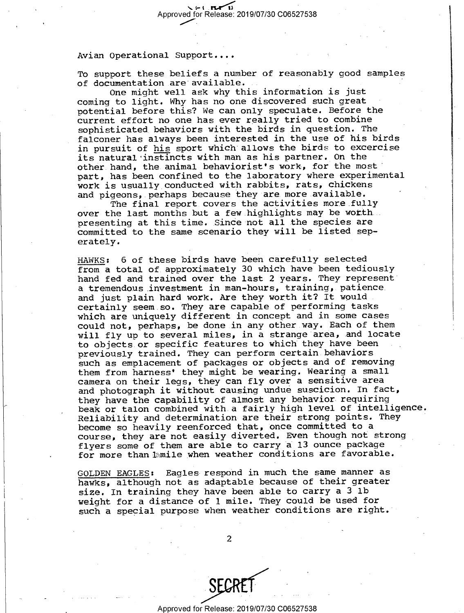To support these beliefs a number of reasonably good samples of documentation are available. I

One might well ask why this information is just coming to light. Why has no one discovered such great potential before this? we can only speculate. Before the current effort no one has ever really tried to combine sophisticated behaviors with the birds in question. The falconer has always been interested in the use of his birds in pursuit of his sport which allows the birds to excercise its natural instincts with man as his partner. On the other hand, the animal behaviorist's work, for the most part, has been confined to the laboratory where experimental work is usually conducted with rabbits, rats, chickens and pigeons, perhaps because they are more available.

The final report covers the activities more fully over the last months but a few.highlights may be worth . presenting at this time. Since not all the species are committed to the same scenario they will be listed seperately.

HAWKS: 6 of these birds have been carefully selected from a total of approximately 30 which have been tediously hand fed and trained over the last 2 years. They represent' a tremendous.investment in man-hours, training, patience and just plain hard work. Are they worth it? It would. certainly seem so. They are capable of performing tasks which are uniquely different in concept and in some cases could not, perhaps, be done in any other way. Each of them will fly up to several miles, in a strange area, and locate to objects or specific features to which they have been previously trained. They can perform certain.behaviors such as emplacement of packages or objects and of removing them from harness' they might be wearing. Wearing a small camera on their legs, they can fly over a sensitive area and photograph it without causing undue suscicion. In fact, they have the capability of almost any behavior requiring beak or talon combined with a fairly high level of intelligence Reliability and determination are their strong points. They become so heavily reenforced that, once committed to a course, they are not easily diverted. Even though not strong flyers some of them are able to carry a 13 ounce package for more than lamile when weather conditions are favorable.

GOLDEN EAGLES: Eagles respond in much the same manner as hawks, although not as adaptable because of their greater size. In training they have been able to carry a 3 lb weight for a distance of 1 mile. They could be used for such a special purpose when weather conditions are right.

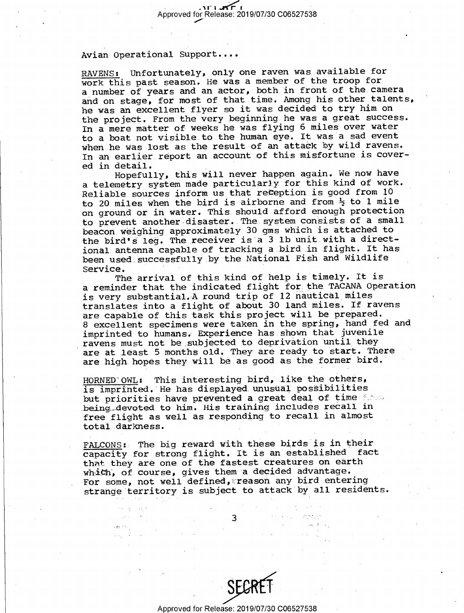RAVENS: Unfortunately, only one raven was available for work this past season. He was a member of the troop for <sup>a</sup>number of years and an actor, both in front of the.camera and on stage, for most of that time. Among his other talents, he was an excellent flyer so it was decided to try him on the project. From the very beginning he was a great success. In a mere matter of weeks he was flying 6 miles over water to a boat not visible to the human eye. It was a.sad event when he was lost as the result of an attack by wild ravens. In an earlier report an account of this misfortune is cover-<br>ed in detail.  $ed$  in detail.  $\qquad \qquad \ldots$ 

Hopefully, this will never happen.again. We now have a telemetry system made particularly for this kind of work. Reliable sources inform us that reception is good from 10 to 20 miles when the bird is airborne and from  $\frac{1}{2}$  to 1 mile on ground or in water. This should afford enough protection to prevent another disaster. The system consists of a small beacon.weighing approximately 30 gms which is attached to the bird's leg. The receiver is'a 3 lb unit.with a directional.antenna capable of tracking a bird in flight. It has been used successfully by the National Fish and Wildlife Service. ' \_~ <sup>i</sup>

The arrival of this kind of help is timely. It is <sup>a</sup>reminder that the indicated flight for the TACANA Operation is very substantial.A round trip of 12 nautical\_miles translates into a flight of about 30 land miles. If ravens are capable of this task this project will be prepared. <sup>8</sup>excellent specimens were taken in the spring, hand fed and imprinted to humans. Experience has shown that juvenile ravens must not be subjected to deprivation until they are at least 5 months old. They are ready to start. There are high hopes they will be as good as the former bird.

HORNED OWL: This interesting bird, like the others, is imprinted. He has displayed.unusual possibilities but priorities have prevented a great deal of time  $\%$ being devoted to him. His training includes recall in free flight as well as responding to recall in almost total darkness. '

FALCONS:> The big reward with these birds is in their capacity for strong flight. It is an established fact that they are one.of the fastest creatures on earth which, of course, gives them a decided advantage. For some, not well defined, reason any bird entering strange territory is subject to attack by all residents.

3

大利 全て 経て

 $\hat{p}$  ,  $\hat{p}$  ,



 $\mathcal{F}(\mathcal{A}) = \mathcal{F}(\mathcal{A}) = \mathcal{F}(\mathcal{A}) = \mathcal{F}(\mathcal{A}) = \mathcal{F}(\mathcal{A})$  $\mathcal{L}_{\text{max}}(\mathcal{L}_{\text{max}})$  and  $\mathcal{L}_{\text{max}}(\mathcal{L})$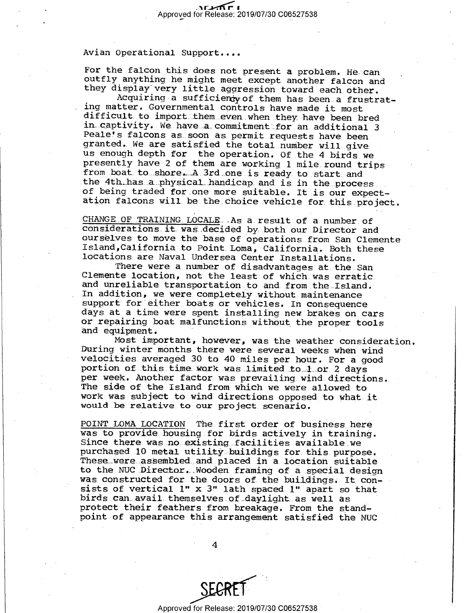For the falcon this does not present a problem. He can<br>outfly anything he might meet except another falcon and<br>they display very little agression toward each other.<br>Acquiring a sufficiency of them has been a frustrat-<br>ing

CHANGE OF TRAINING LOCALE. As a result of a number of<br>CONSIDENTING LOCALE. As a result of a number of<br>Considerations it was decided by both our Director and<br>ourselves to move the base of operations from San Clemente<br>Island

Most important, however, was the weather consideration.<br>During winter months there were several weeks when wind<br>velocities averaged 30 to 40 miles per hour. For a good<br>portion of this time work was limited to 1 or 2 days<br>p Work was subject to wind directions opposed to what it would be relative to our project scenario.

POINT LOMA LOCATION The first order of business here<br>was to provide housing for birds actively in training.<br>Since there was no existing facilities available we<br>purchased 10 metal utility buildings for this purpose.<br>These w birds can avail themselves of daylight as well as<br>protect their feathers from breakage. From the stand-<br>point of appearance this arrangement satisfied the NUC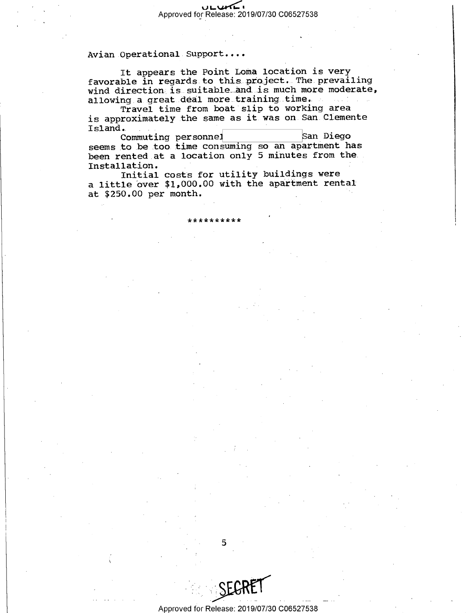It appears the Point Loma location is very favorable in regards to this project. The prevailing wind direction is suitable and is much more moderate, allowing a great deal more training time.

Travel time from boat slip to working area is approximately the same as it was on San Clemente Island.

San Diego Commuting personnel seems to be too time consuming so an apartment has been rented at a location only 5 minutes from the Installation.

Initial costs for utility buildings were a little over \$1,000.00 with the apartment rental at \$250.00 per month.

, , , , , , , , , , ,

Approved for Release: 2019/07/30 C06527538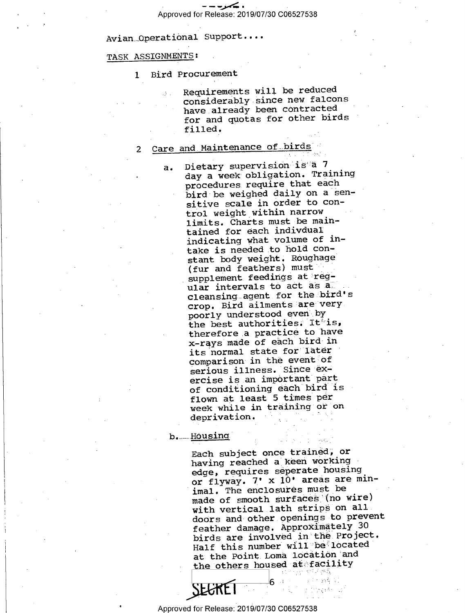#### TASK ASSIGNMENTS : .

1 Bird Procurement

Requirements will be reduced considerably since new falcons have already been contracted for and quotas for other birds filled.

## 2 Care and Maintenance of birds

a. Dietary supervision is"a <sup>7</sup> day a week obligation. Training procedures require that each bird be weighed daily on a sensitive scale in order to control weight within narrow limits. Charts must-be maintained for each indivdual indicating what volume of in- . take is needed to hold constant body weight. Roughage (fur and feathers) must supplement feedings at regular intervals to act as all cleansing agent for the bird's crop. Bird ailments are very. poorly understood even by the best authorities. It is, therefore.a practice to have x-rays made of each bird-in its normal state for later comparison in the event of serious illness. Since exercise is an important part of conditioning each bird is flown at least 5 times per week while in training or on deprivation.

#### b. Housing

°

Each subject once trained; or having reached a keen working edge, requires seperate housing or flyway. 7' x 10' areas are minimal. The enclosures must be made of smooth surfaces (no wire) with vertical lath strips on all. doors and other openings to prevent feather damage. Approximately <sup>30</sup> birds are involved in the Project. Half this number will be located at the Point Loma location and the others housed at facility

-"v .\_e .. .;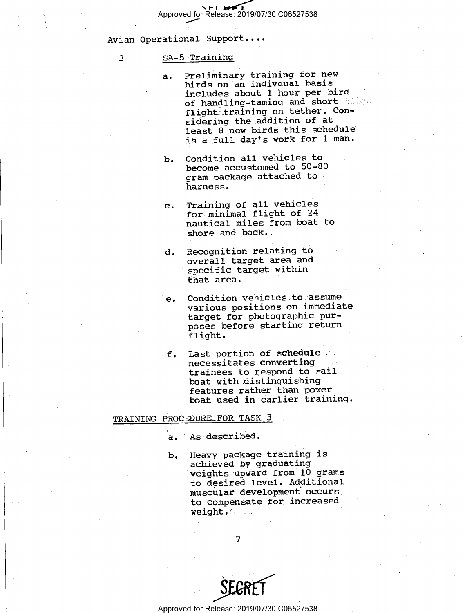#### 3 SA-5 Training

- a. Preliminary training for new birds on an indivdual basis includes about 1 hour per bird of handling-taming and short in the flight training on tether. Considering the addition of at least  $8$  new birds this schedule is a full day's work for 1 man.
- b. Condition all vehicles to become accustomed to 50-80 gram package attached to harness. "
- c. Training of all vehicles for minimal flight of 24 nautical miles from boat to shore and  $back.$
- d. Recognition relating to overall target area and specific target within that area. '
- e. Condition vehicles to assume various positions on immediate target for photographic purposes before starting return flight.
- f. Last portion of schedule ;  $\Diamond$ necessitates converting trainees to respond to sail boat with.distinguishing features rather than power boat used in earlier training.

#### TRAINING PROCEDURE FOR TASK 3

- a. As~described.
- b. Heavy package training is achieved by graduating weights upward from 10 grams to desired level. Additional muscular development occurs\_ to compensate for increased weight. $\ell$  .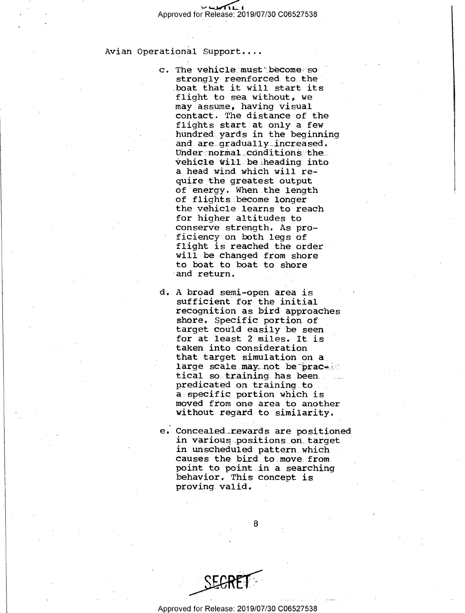c. The vehicle must become so strongly reenforced to the boat that it will start its flight to sea without, we may assume, having visual contact. The distance of the flights start at only a few hundred yards in the beginning and are gradually increased. Under normal conditions the vehicle will be heading into a head wind which will require the greatest output of energy. When the length<br>of flights become longer the vehicle learns to reach for higher altitudes to conserve strength. As proficiency on both legs of flight is reached the order will be changed from shore to boat to boat to shore and return.

d-A broad semi-open area is sufficient for the initial recognition as bird approaches<br>shore. Specific portion of target could easily be seen for at least 2 miles. It is taken into consideration that target simulation on a<br>large scale may not be prace tical so training has been. predicated on training to a specific portion which is without regard to similarity.

e. Concealed rewards are positioned in various positions on target<br>in unscheduled pattern which<br>causes the bird to move from. point to point in a searching behavior. This concept is proving valid.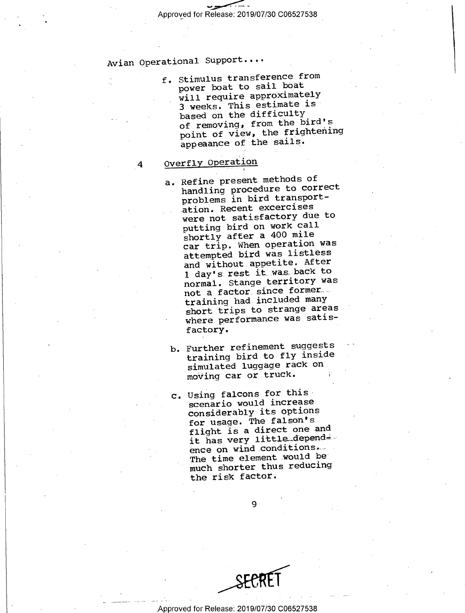$\sim$ Approved for Release: 2019/07/30 C06527538

## Avian Operational Support...-

f. Stimulus transference from power boat to sail boat will require approximately 3 weeks. This estimate is based on the difficulty of removing, from the bird's point of view, the frightening appeaance of the sails.

## Overfly Operation

4

- a. Refine present methods of handling procedure to correct problems in bird transportation. Recent excercises were not satisfactory due to putting bird on work call shortly after a 400 mile car trip. When operation was attempted bird was listless and without appetite. After 1 day's rest.it was back to normal. Stange\_territory was not a factor since formers. training had.included many short trips to strange areas where performance was satisfactory.
	- b. Further refinement suggests training bird to fly inside simulated luggage rack on moving car or truck.
	- c. Using falcons for this scenario would increase considerably its options for usage. The falson's flight is a direct one and it has very little\_depend< ence on wind conditions. The time element would be much shorter thus reducing the risk factor.

 $\mathbf{Q}$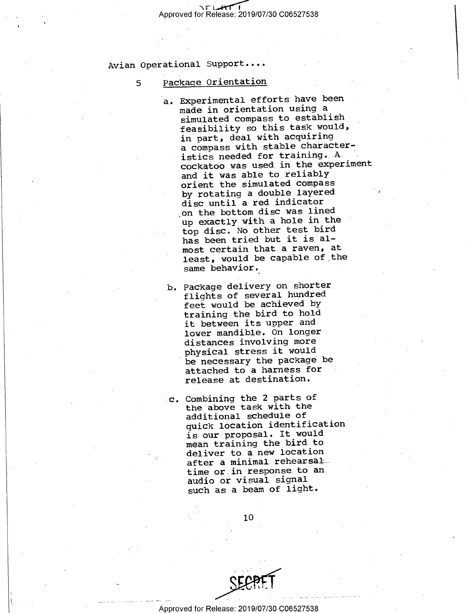5

## Package Orientation

- a. Experimental efforts have been made in orientation using a simulated compass to establish feasibility so this task would,<br>in part, deal with acquiring<br>in this table share to feasibility so this task would, a compass with stable characteristics needed for training. A cockatoo was used in the experiment and it was able to reliab orient the.simulated comp lY ass by rotating a double layered disc until a red indicator up exactly with a hole in the top disc. No other test b ird has been tried but it is almost certain that a raven, at least, would be capable of the same behavior.<sup>~</sup> on the bottom disC was lined
- b. Package delivery on shorter flights of several hundred feet would be achieved by training the bird to hold it between its upper and lower mandible. On longer distances involving more physical stress it would be necessary the package be attached to a harness for release at destination.
- c. Combining the 2 parts of the above task with the additional schedule of quick location identification is our proposal. It would mean training the bird to deliver to.a new location after a minimal rehearsal time or in response to an audio or visual signal such as a beam of light.

10

 $\sum_{i=1}^{n}$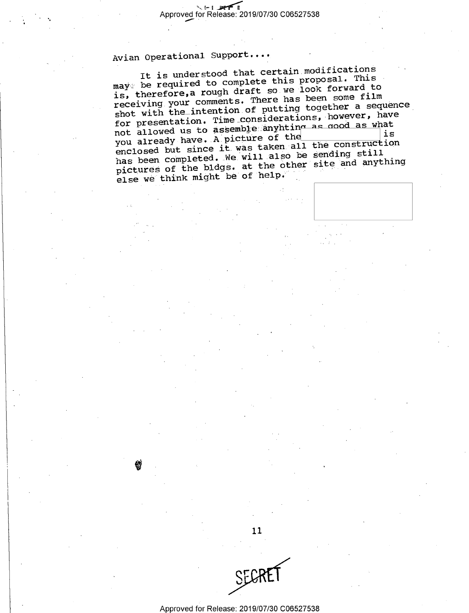$\mathcal{Q}$ 

It is understood that certain modifications  $\texttt{may}$  be required to complete this proposal. This is, therefore,a rough draft so.we look forward to receiving your comments. There has been some film shot with the intention of putting together a sequence for presentation. Time considerations, however, have not allowed us to assemble anyhting as good as what<br>you already have. A picture of the the state of the not allowed us to spoon interest the 1s<br>you already have. A picture of the construction you alleauy have in F-7.<br>enclosed but since it was taken all the construction has been completed. We will also be sending still pictures of the bldgs. at the other site and anything else we think might be of help.

Approved for Release: 2019/07/30 C06527538

11

 $\zeta$ Fl